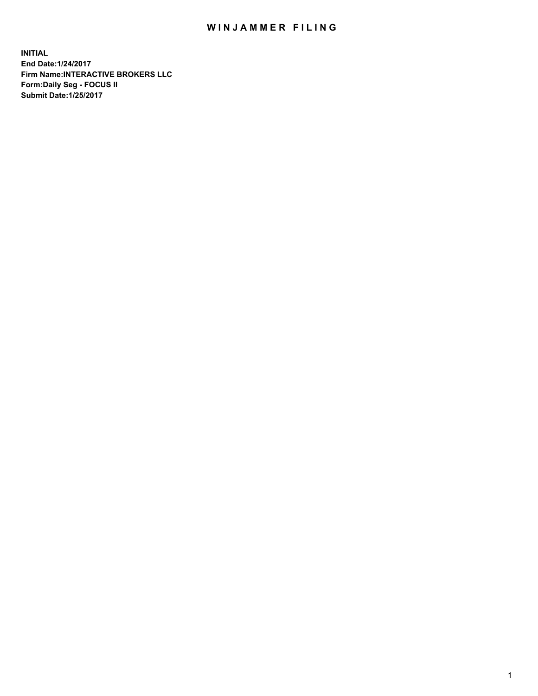## WIN JAMMER FILING

**INITIAL End Date:1/24/2017 Firm Name:INTERACTIVE BROKERS LLC Form:Daily Seg - FOCUS II Submit Date:1/25/2017**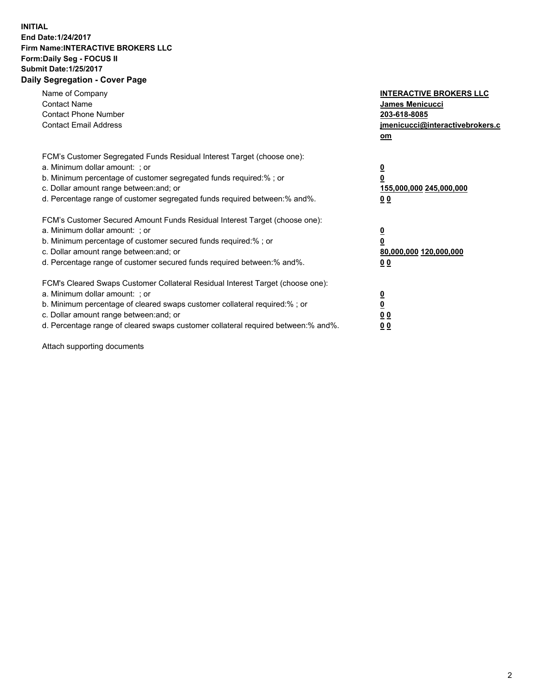## **INITIAL End Date:1/24/2017 Firm Name:INTERACTIVE BROKERS LLC Form:Daily Seg - FOCUS II Submit Date:1/25/2017 Daily Segregation - Cover Page**

| Name of Company<br><b>Contact Name</b><br><b>Contact Phone Number</b><br><b>Contact Email Address</b>                                                                                                                                                                                                                          | <b>INTERACTIVE BROKERS LLC</b><br>James Menicucci<br>203-618-8085<br><u>jmenicucci@interactivebrokers.c</u><br>om |
|--------------------------------------------------------------------------------------------------------------------------------------------------------------------------------------------------------------------------------------------------------------------------------------------------------------------------------|-------------------------------------------------------------------------------------------------------------------|
| FCM's Customer Segregated Funds Residual Interest Target (choose one):<br>a. Minimum dollar amount: ; or<br>b. Minimum percentage of customer segregated funds required:%; or<br>c. Dollar amount range between: and; or<br>d. Percentage range of customer segregated funds required between:% and%.                          | $\overline{\mathbf{0}}$<br>0<br>155,000,000 245,000,000<br>0 <sub>0</sub>                                         |
| FCM's Customer Secured Amount Funds Residual Interest Target (choose one):<br>a. Minimum dollar amount: ; or<br>b. Minimum percentage of customer secured funds required:%; or<br>c. Dollar amount range between: and; or<br>d. Percentage range of customer secured funds required between:% and%.                            | $\overline{\mathbf{0}}$<br>$\overline{\mathbf{0}}$<br>80,000,000 120,000,000<br>00                                |
| FCM's Cleared Swaps Customer Collateral Residual Interest Target (choose one):<br>a. Minimum dollar amount: ; or<br>b. Minimum percentage of cleared swaps customer collateral required:% ; or<br>c. Dollar amount range between: and; or<br>d. Percentage range of cleared swaps customer collateral required between:% and%. | $\overline{\mathbf{0}}$<br>$\overline{\mathbf{0}}$<br>0 <sub>0</sub><br><u>00</u>                                 |

Attach supporting documents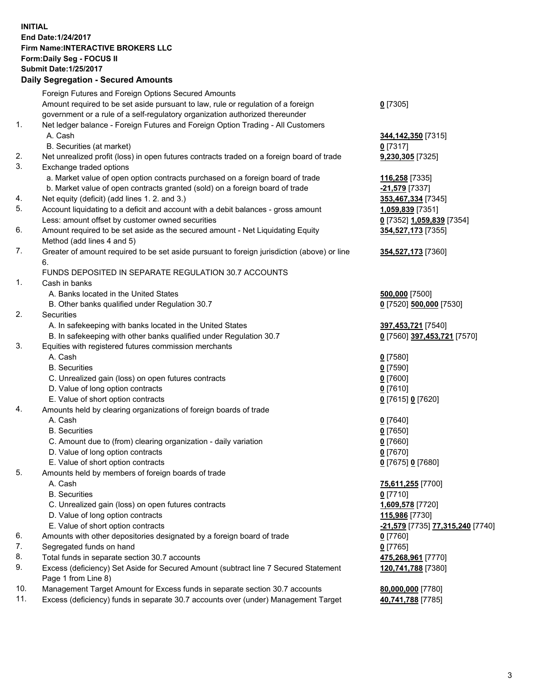## **INITIAL End Date:1/24/2017 Firm Name:INTERACTIVE BROKERS LLC Form:Daily Seg - FOCUS II Submit Date:1/25/2017 Daily Segregation - Secured Amounts**

## Foreign Futures and Foreign Options Secured Amounts Amount required to be set aside pursuant to law, rule or regulation of a foreign

|          | Amount required to be set aside pursuant to law, rule or regulation of a foreign<br>government or a rule of a self-regulatory organization authorized thereunder | $0$ [7305]                                           |  |  |
|----------|------------------------------------------------------------------------------------------------------------------------------------------------------------------|------------------------------------------------------|--|--|
| 1.       | Net ledger balance - Foreign Futures and Foreign Option Trading - All Customers                                                                                  |                                                      |  |  |
|          | A. Cash                                                                                                                                                          | 344, 142, 350 [7315]                                 |  |  |
|          | B. Securities (at market)                                                                                                                                        | $0$ [7317]                                           |  |  |
| 2.       | Net unrealized profit (loss) in open futures contracts traded on a foreign board of trade                                                                        | 9,230,305 [7325]                                     |  |  |
| 3.       | Exchange traded options                                                                                                                                          |                                                      |  |  |
|          |                                                                                                                                                                  |                                                      |  |  |
|          | a. Market value of open option contracts purchased on a foreign board of trade                                                                                   | 116,258 [7335]                                       |  |  |
|          | b. Market value of open contracts granted (sold) on a foreign board of trade                                                                                     | -21,579 [7337]                                       |  |  |
| 4.<br>5. | Net equity (deficit) (add lines 1.2. and 3.)                                                                                                                     | 353,467,334 [7345]                                   |  |  |
|          | Account liquidating to a deficit and account with a debit balances - gross amount                                                                                | 1,059,839 [7351]                                     |  |  |
|          | Less: amount offset by customer owned securities                                                                                                                 | 0 [7352] 1,059,839 [7354]                            |  |  |
| 6.       | Amount required to be set aside as the secured amount - Net Liquidating Equity<br>Method (add lines 4 and 5)                                                     | 354,527,173 [7355]                                   |  |  |
| 7.       | Greater of amount required to be set aside pursuant to foreign jurisdiction (above) or line                                                                      | 354,527,173 [7360]                                   |  |  |
|          | 6.                                                                                                                                                               |                                                      |  |  |
|          | FUNDS DEPOSITED IN SEPARATE REGULATION 30.7 ACCOUNTS                                                                                                             |                                                      |  |  |
| 1.       | Cash in banks                                                                                                                                                    |                                                      |  |  |
|          | A. Banks located in the United States                                                                                                                            | 500,000 [7500]                                       |  |  |
|          | B. Other banks qualified under Regulation 30.7                                                                                                                   | 0 [7520] 500,000 [7530]                              |  |  |
| 2.       | Securities                                                                                                                                                       |                                                      |  |  |
|          | A. In safekeeping with banks located in the United States                                                                                                        | 397,453,721 [7540]                                   |  |  |
|          | B. In safekeeping with other banks qualified under Regulation 30.7                                                                                               | 0 [7560] 397,453,721 [7570]                          |  |  |
| 3.       | Equities with registered futures commission merchants                                                                                                            |                                                      |  |  |
|          | A. Cash                                                                                                                                                          | $0$ [7580]                                           |  |  |
|          | <b>B.</b> Securities                                                                                                                                             | $0$ [7590]                                           |  |  |
|          | C. Unrealized gain (loss) on open futures contracts                                                                                                              | $0$ [7600]                                           |  |  |
|          | D. Value of long option contracts                                                                                                                                | $0$ [7610]                                           |  |  |
|          | E. Value of short option contracts                                                                                                                               | 0 [7615] 0 [7620]                                    |  |  |
| 4.       | Amounts held by clearing organizations of foreign boards of trade                                                                                                |                                                      |  |  |
|          | A. Cash                                                                                                                                                          | $0$ [7640]                                           |  |  |
|          | <b>B.</b> Securities                                                                                                                                             | $0$ [7650]                                           |  |  |
|          | C. Amount due to (from) clearing organization - daily variation                                                                                                  | $0$ [7660]                                           |  |  |
|          | D. Value of long option contracts                                                                                                                                | $0$ [7670]                                           |  |  |
|          | E. Value of short option contracts                                                                                                                               | 0 [7675] 0 [7680]                                    |  |  |
| 5.       | Amounts held by members of foreign boards of trade                                                                                                               |                                                      |  |  |
|          | A. Cash                                                                                                                                                          | 75,611,255 [7700]                                    |  |  |
|          | <b>B.</b> Securities                                                                                                                                             | $0$ [7710]                                           |  |  |
|          | C. Unrealized gain (loss) on open futures contracts                                                                                                              | 1,609,578 [7720]                                     |  |  |
|          | D. Value of long option contracts                                                                                                                                | 115,986 [7730]                                       |  |  |
|          | E. Value of short option contracts                                                                                                                               | <mark>-21,579</mark> [7735] <u>77,315,240</u> [7740] |  |  |
| 6.       | Amounts with other depositories designated by a foreign board of trade                                                                                           | 0 [7760]                                             |  |  |
| 7.       | Segregated funds on hand                                                                                                                                         | $0$ [7765]                                           |  |  |
| 8.       | Total funds in separate section 30.7 accounts                                                                                                                    | 475,268,961 [7770]                                   |  |  |
| 9.       | Excess (deficiency) Set Aside for Secured Amount (subtract line 7 Secured Statement                                                                              | 120,741,788 [7380]                                   |  |  |
|          | Page 1 from Line 8)                                                                                                                                              |                                                      |  |  |
| 10.      | Management Target Amount for Excess funds in separate section 30.7 accounts                                                                                      | 80,000,000 [7780]                                    |  |  |
| 11.      | Excess (deficiency) funds in separate 30.7 accounts over (under) Management Target                                                                               | 40,741,788 [7785]                                    |  |  |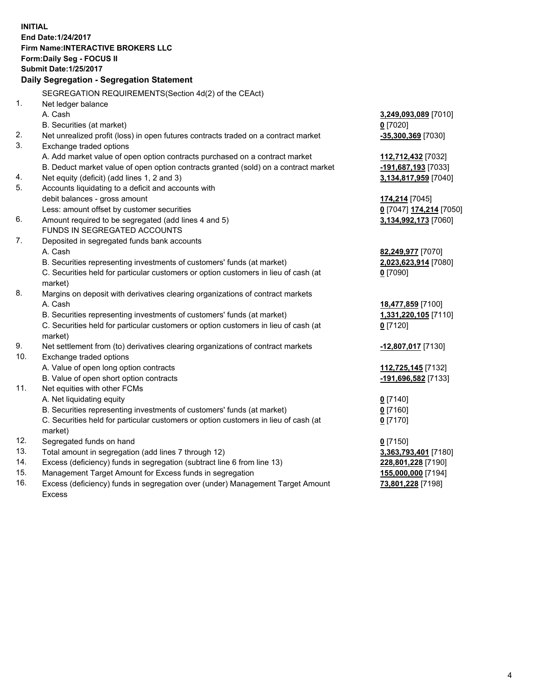**INITIAL End Date:1/24/2017 Firm Name:INTERACTIVE BROKERS LLC Form:Daily Seg - FOCUS II Submit Date:1/25/2017 Daily Segregation - Segregation Statement** SEGREGATION REQUIREMENTS(Section 4d(2) of the CEAct) 1. Net ledger balance A. Cash **3,249,093,089** [7010] B. Securities (at market) **0** [7020] 2. Net unrealized profit (loss) in open futures contracts traded on a contract market **-35,300,369** [7030] 3. Exchange traded options A. Add market value of open option contracts purchased on a contract market **112,712,432** [7032] B. Deduct market value of open option contracts granted (sold) on a contract market **-191,687,193** [7033] 4. Net equity (deficit) (add lines 1, 2 and 3) **3,134,817,959** [7040] 5. Accounts liquidating to a deficit and accounts with debit balances - gross amount **174,214** [7045] Less: amount offset by customer securities **0** [7047] **174,214** [7050] 6. Amount required to be segregated (add lines 4 and 5) **3,134,992,173** [7060] FUNDS IN SEGREGATED ACCOUNTS 7. Deposited in segregated funds bank accounts A. Cash **82,249,977** [7070] B. Securities representing investments of customers' funds (at market) **2,023,623,914** [7080] C. Securities held for particular customers or option customers in lieu of cash (at market) **0** [7090] 8. Margins on deposit with derivatives clearing organizations of contract markets A. Cash **18,477,859** [7100] B. Securities representing investments of customers' funds (at market) **1,331,220,105** [7110] C. Securities held for particular customers or option customers in lieu of cash (at market) **0** [7120] 9. Net settlement from (to) derivatives clearing organizations of contract markets **-12,807,017** [7130] 10. Exchange traded options A. Value of open long option contracts **112,725,145** [7132] B. Value of open short option contracts **-191,696,582** [7133] 11. Net equities with other FCMs A. Net liquidating equity **0** [7140] B. Securities representing investments of customers' funds (at market) **0** [7160] C. Securities held for particular customers or option customers in lieu of cash (at market) **0** [7170] 12. Segregated funds on hand **0** [7150] 13. Total amount in segregation (add lines 7 through 12) **3,363,793,401** [7180] 14. Excess (deficiency) funds in segregation (subtract line 6 from line 13) **228,801,228** [7190] 15. Management Target Amount for Excess funds in segregation **155,000,000** [7194] **73,801,228** [7198]

16. Excess (deficiency) funds in segregation over (under) Management Target Amount Excess